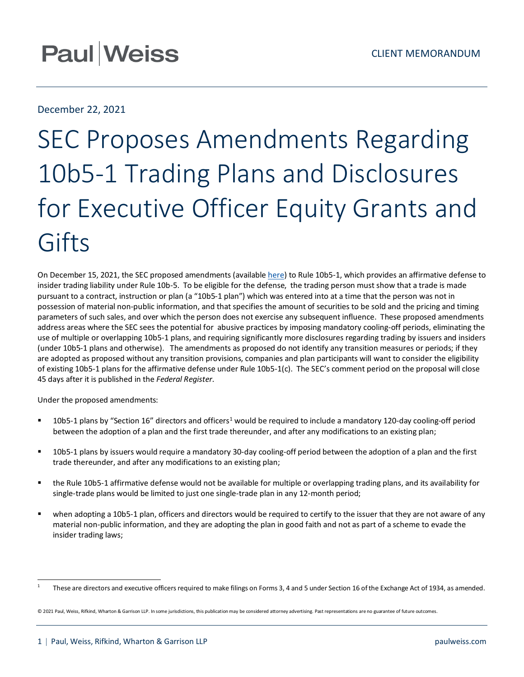## **Paul Weiss**

### December 22, 2021

# SEC Proposes Amendments Regarding 10b5-1 Trading Plans and Disclosures for Executive Officer Equity Grants and Gifts

On December 15, 2021, the SEC proposed amendments (available [here\)](https://www.sec.gov/rules/proposed/2021/33-11013.pdf) to Rule 10b5-1, which provides an affirmative defense to insider trading liability under Rule 10b-5. To be eligible for the defense, the trading person must show that a trade is made pursuant to a contract, instruction or plan (a "10b5-1 plan") which was entered into at a time that the person was not in possession of material non-public information, and that specifies the amount of securities to be sold and the pricing and timing parameters of such sales, and over which the person does not exercise any subsequent influence. These proposed amendments address areas where the SEC sees the potential for abusive practices by imposing mandatory cooling-off periods, eliminating the use of multiple or overlapping 10b5-1 plans, and requiring significantly more disclosures regarding trading by issuers and insiders (under 10b5-1 plans and otherwise). The amendments as proposed do not identify any transition measures or periods; if they are adopted as proposed without any transition provisions, companies and plan participants will want to consider the eligibility of existing 10b5-1 plans for the affirmative defense under Rule 10b5-1(c). The SEC's comment period on the proposal will close 45 days after it is published in the *Federal Register.*

Under the proposed amendments:

- **[1](#page-0-0)0b5-1 plans by "Section 16" directors and officers<sup>1</sup> would be required to include a mandatory 120-day cooling-off period** between the adoption of a plan and the first trade thereunder, and after any modifications to an existing plan;
- 10b5-1 plans by issuers would require a mandatory 30-day cooling-off period between the adoption of a plan and the first trade thereunder, and after any modifications to an existing plan;
- the Rule 10b5-1 affirmative defense would not be available for multiple or overlapping trading plans, and its availability for single-trade plans would be limited to just one single-trade plan in any 12-month period;
- when adopting a 10b5-1 plan, officers and directors would be required to certify to the issuer that they are not aware of any material non-public information, and they are adopting the plan in good faith and not as part of a scheme to evade the insider trading laws;

<span id="page-0-0"></span><sup>&</sup>lt;sup>1</sup> These are directors and executive officers required to make filings on Forms 3, 4 and 5 under Section 16 of the Exchange Act of 1934, as amended.

<sup>© 2021</sup> Paul, Weiss, Rifkind, Wharton & Garrison LLP. In some jurisdictions, this publication may be considered attorney advertising. Past representations are no guarantee of future outcomes.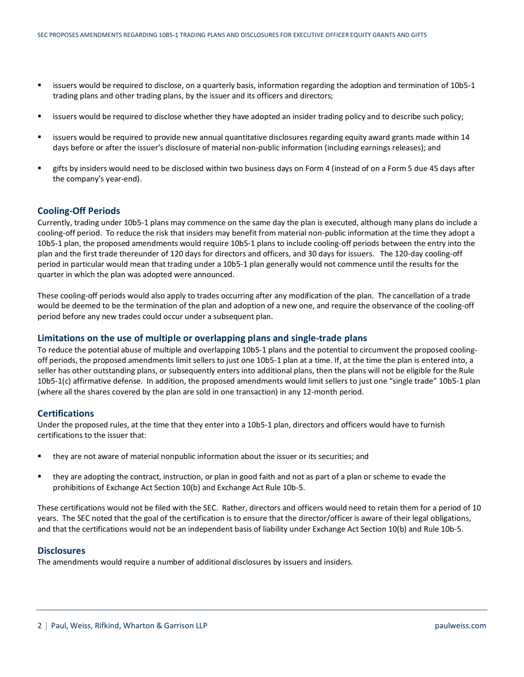- issuers would be required to disclose, on a quarterly basis, information regarding the adoption and termination of 10b5-1 trading plans and other trading plans, by the issuer and its officers and directors;
- issuers would be required to disclose whether they have adopted an insider trading policy and to describe such policy;
- **EXECT** issuers would be required to provide new annual quantitative disclosures regarding equity award grants made within 14 days before or after the issuer's disclosure of material non-public information (including earnings releases); and
- gifts by insiders would need to be disclosed within two business days on Form 4 (instead of on a Form 5 due 45 days after the company's year-end).

#### **Cooling-Off Periods**

Currently, trading under 10b5-1 plans may commence on the same day the plan is executed, although many plans do include a cooling-off period. To reduce the risk that insiders may benefit from material non-public information at the time they adopt a 10b5-1 plan, the proposed amendments would require 10b5-1 plans to include cooling-off periods between the entry into the plan and the first trade thereunder of 120 days for directors and officers, and 30 days for issuers. The 120-day cooling-off period in particular would mean that trading under a 10b5-1 plan generally would not commence until the results for the quarter in which the plan was adopted were announced.

These cooling-off periods would also apply to trades occurring after any modification of the plan. The cancellation of a trade would be deemed to be the termination of the plan and adoption of a new one, and require the observance of the cooling-off period before any new trades could occur under a subsequent plan.

#### **Limitations on the use of multiple or overlapping plans and single-trade plans**

To reduce the potential abuse of multiple and overlapping 10b5-1 plans and the potential to circumvent the proposed coolingoff periods, the proposed amendments limit sellers to just one 10b5-1 plan at a time. If, at the time the plan is entered into, a seller has other outstanding plans, or subsequently enters into additional plans, then the plans will not be eligible for the Rule 10b5-1(c) affirmative defense. In addition, the proposed amendments would limit sellers to just one "single trade" 10b5-1 plan (where all the shares covered by the plan are sold in one transaction) in any 12-month period.

#### **Certifications**

Under the proposed rules, at the time that they enter into a 10b5-1 plan, directors and officers would have to furnish certifications to the issuer that:

- they are not aware of material nonpublic information about the issuer or its securities; and
- they are adopting the contract, instruction, or plan in good faith and not as part of a plan or scheme to evade the prohibitions of Exchange Act Section 10(b) and Exchange Act Rule 10b-5.

These certifications would not be filed with the SEC. Rather, directors and officers would need to retain them for a period of 10 years. The SEC noted that the goal of the certification is to ensure that the director/officer is aware of their legal obligations, and that the certifications would not be an independent basis of liability under Exchange Act Section 10(b) and Rule 10b-5.

#### **Disclosures**

The amendments would require a number of additional disclosures by issuers and insiders.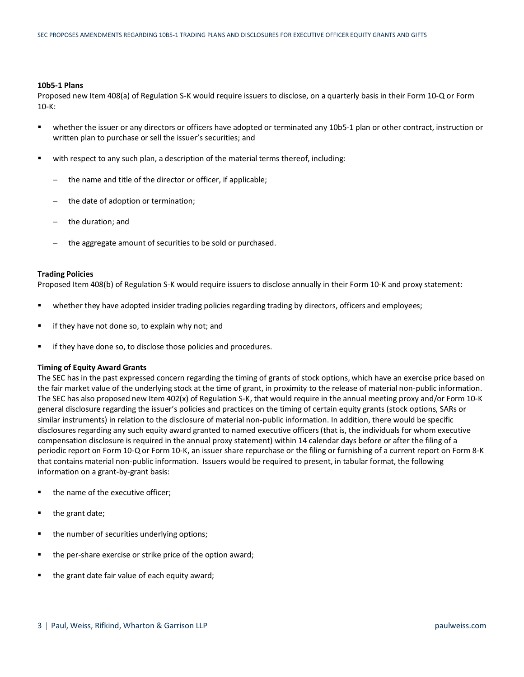#### **10b5-1 Plans**

Proposed new Item 408(a) of Regulation S-K would require issuers to disclose, on a quarterly basis in their Form 10-Q or Form 10-K:

- whether the issuer or any directors or officers have adopted or terminated any 10b5-1 plan or other contract, instruction or written plan to purchase or sell the issuer's securities; and
- **with respect to any such plan, a description of the material terms thereof, including:** 
	- the name and title of the director or officer, if applicable;
	- − the date of adoption or termination;
	- the duration; and
	- the aggregate amount of securities to be sold or purchased.

#### **Trading Policies**

Proposed Item 408(b) of Regulation S-K would require issuers to disclose annually in their Form 10-K and proxy statement:

- **•** whether they have adopted insider trading policies regarding trading by directors, officers and employees;
- $\blacksquare$  if they have not done so, to explain why not; and
- **f** if they have done so, to disclose those policies and procedures.

#### **Timing of Equity Award Grants**

The SEC has in the past expressed concern regarding the timing of grants of stock options, which have an exercise price based on the fair market value of the underlying stock at the time of grant, in proximity to the release of material non-public information. The SEC has also proposed new Item 402(x) of Regulation S-K, that would require in the annual meeting proxy and/or Form 10-K general disclosure regarding the issuer's policies and practices on the timing of certain equity grants (stock options, SARs or similar instruments) in relation to the disclosure of material non-public information. In addition, there would be specific disclosures regarding any such equity award granted to named executive officers (that is, the individuals for whom executive compensation disclosure is required in the annual proxy statement) within 14 calendar days before or after the filing of a periodic report on Form 10-Q or Form 10-K, an issuer share repurchase or the filing or furnishing of a current report on Form 8-K that contains material non-public information. Issuers would be required to present, in tabular format, the following information on a grant-by-grant basis:

- the name of the executive officer;
- $\blacksquare$  the grant date;
- the number of securities underlying options;
- the per-share exercise or strike price of the option award;
- the grant date fair value of each equity award;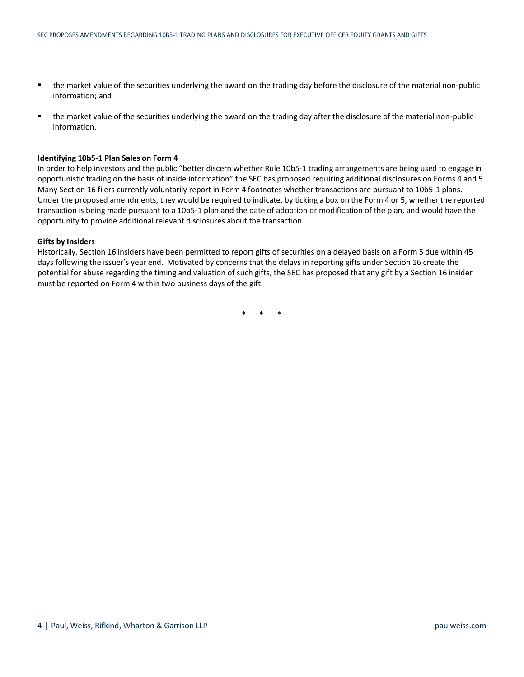- the market value of the securities underlying the award on the trading day before the disclosure of the material non-public information; and
- the market value of the securities underlying the award on the trading day after the disclosure of the material non-public information.

#### **Identifying 10b5-1 Plan Sales on Form 4**

In order to help investors and the public "better discern whether Rule 10b5-1 trading arrangements are being used to engage in opportunistic trading on the basis of inside information" the SEC has proposed requiring additional disclosures on Forms 4 and 5. Many Section 16 filers currently voluntarily report in Form 4 footnotes whether transactions are pursuant to 10b5-1 plans. Under the proposed amendments, they would be required to indicate, by ticking a box on the Form 4 or 5, whether the reported transaction is being made pursuant to a 10b5-1 plan and the date of adoption or modification of the plan, and would have the opportunity to provide additional relevant disclosures about the transaction.

#### **Gifts by Insiders**

Historically, Section 16 insiders have been permitted to report gifts of securities on a delayed basis on a Form 5 due within 45 days following the issuer's year end. Motivated by concerns that the delays in reporting gifts under Section 16 create the potential for abuse regarding the timing and valuation of such gifts, the SEC has proposed that any gift by a Section 16 insider must be reported on Form 4 within two business days of the gift.

\* \* \*